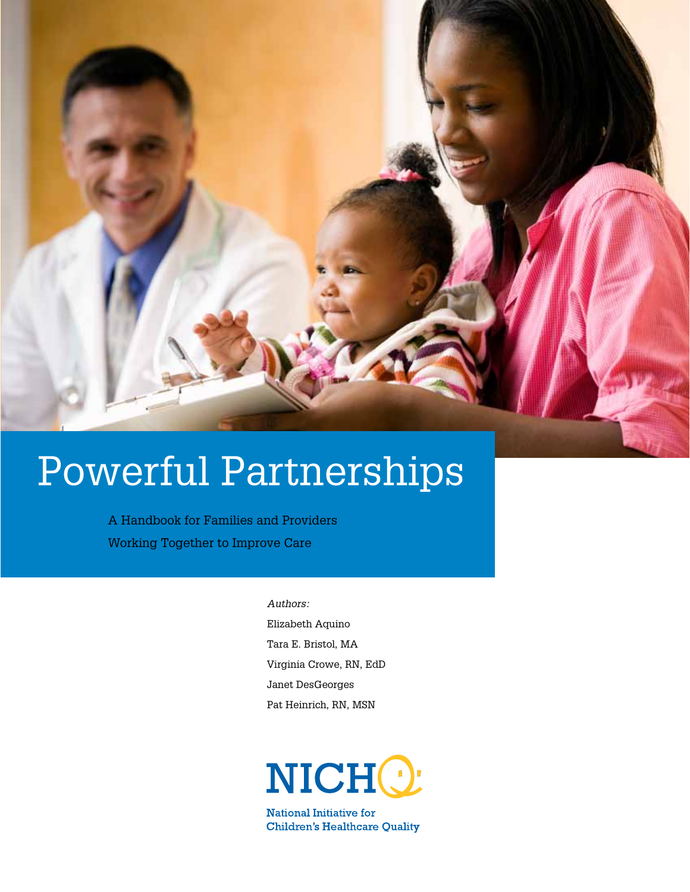

# Powerful Partnerships

A Handbook for Families and Providers Working Together to Improve Care

> *Authors:* Elizabeth Aquino Tara E. Bristol, MA Virginia Crowe, RN, EdD Janet DesGeorges Pat Heinrich, RN, MSN



National Initiative for **Children's Healthcare Quality**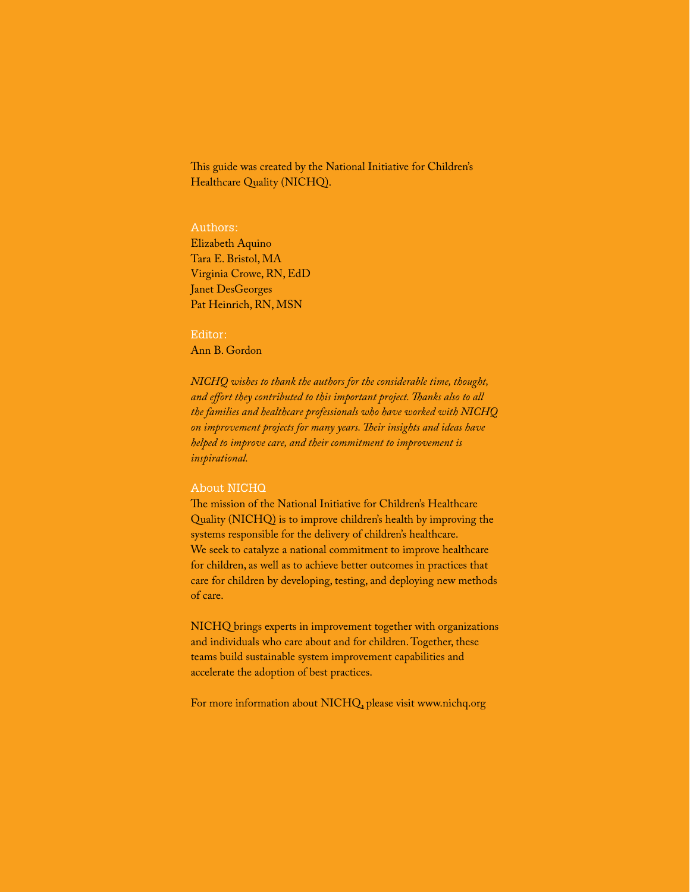This guide was created by the National Initiative for Children's Healthcare Quality (NICHQ).

#### Authors:

Elizabeth Aquino Tara E. Bristol, MA Virginia Crowe, RN, EdD Janet DesGeorges Pat Heinrich, RN, MSN

#### Editor:

Ann B. Gordon

*NICHQ wishes to thank the authors for the considerable time, thought, and effort they contributed to this important project. Thanks also to all the families and healthcare professionals who have worked with NICHQ on improvement projects for many years. Their insights and ideas have helped to improve care, and their commitment to improvement is inspirational.* 

#### About NICHQ

The mission of the National Initiative for Children's Healthcare Quality (NICHQ) is to improve children's health by improving the systems responsible for the delivery of children's healthcare. We seek to catalyze a national commitment to improve healthcare for children, as well as to achieve better outcomes in practices that care for children by developing, testing, and deploying new methods of care.

NICHQ brings experts in improvement together with organizations and individuals who care about and for children. Together, these teams build sustainable system improvement capabilities and accelerate the adoption of best practices.

For more information about NICHQ, please visit www.nichq.org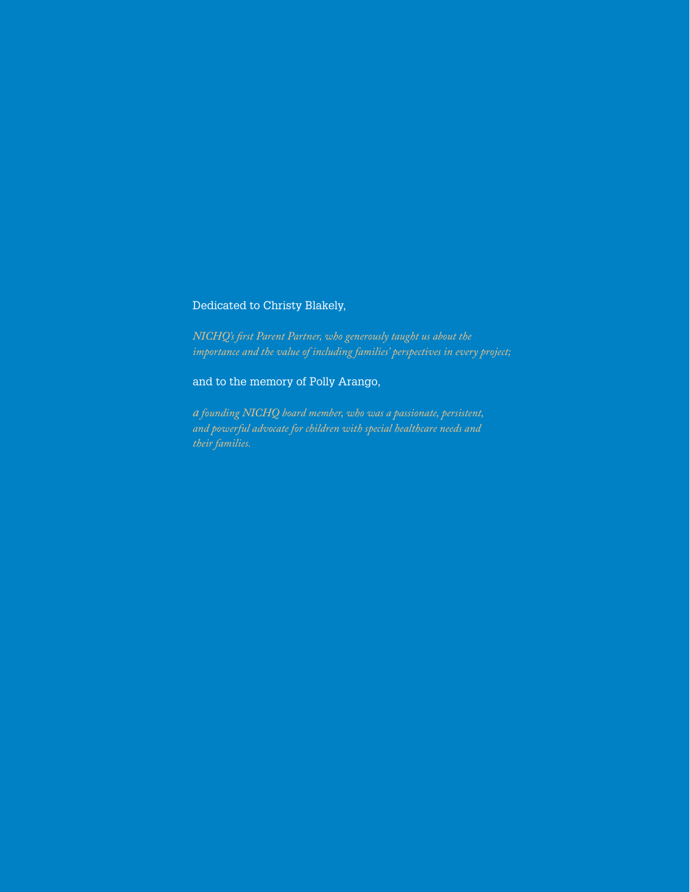# Dedicated to Christy Blakely,

*NICHQ's first Parent Partner, who generously taught us about the importance and the value of including families' perspectives in every project;* 

### and to the memory of Polly Arango,

*a founding NICHQ board member, who was a passionate, persistent, and powerful advocate for children with special healthcare needs and*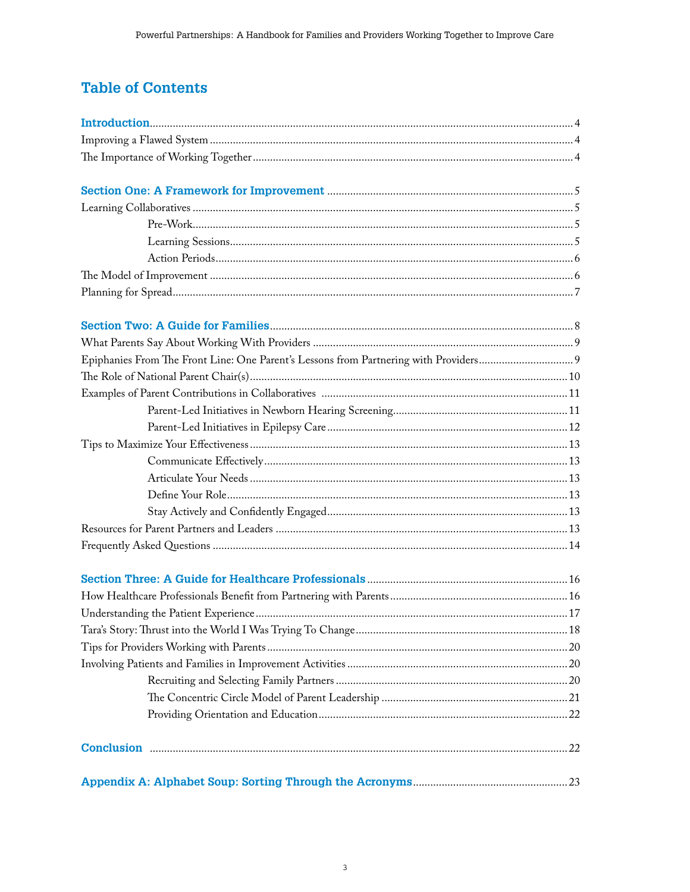# **Table of Contents**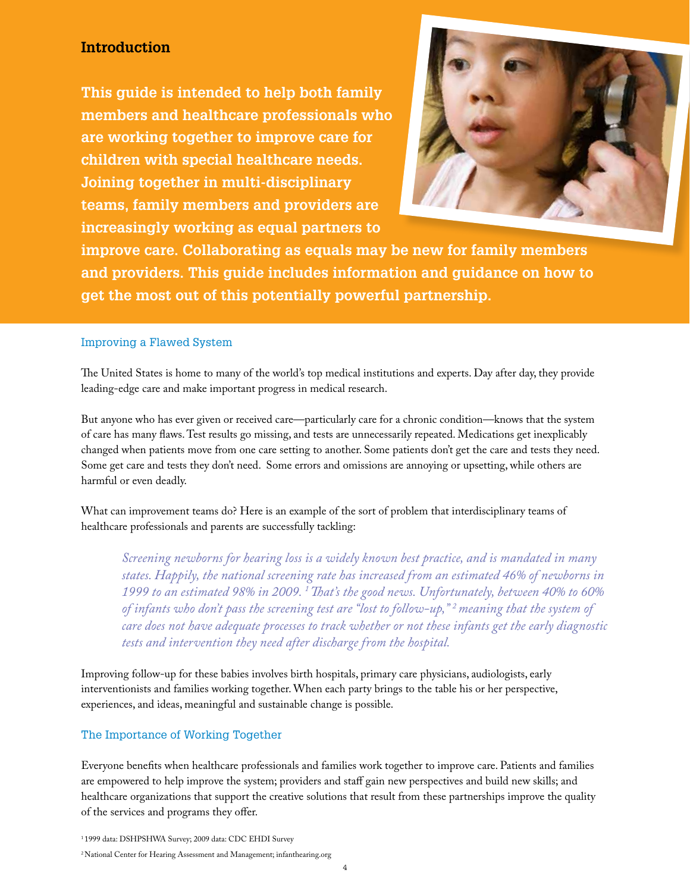# **Introduction**

**This guide is intended to help both family members and healthcare professionals who are working together to improve care for children with special healthcare needs. Joining together in multi-disciplinary teams, family members and providers are increasingly working as equal partners to** 



**improve care. Collaborating as equals may be new for family members and providers. This guide includes information and guidance on how to get the most out of this potentially powerful partnership.** 

#### Improving a Flawed System

The United States is home to many of the world's top medical institutions and experts. Day after day, they provide leading-edge care and make important progress in medical research.

But anyone who has ever given or received care—particularly care for a chronic condition—knows that the system of care has many flaws. Test results go missing, and tests are unnecessarily repeated. Medications get inexplicably changed when patients move from one care setting to another. Some patients don't get the care and tests they need. Some get care and tests they don't need. Some errors and omissions are annoying or upsetting, while others are harmful or even deadly.

What can improvement teams do? Here is an example of the sort of problem that interdisciplinary teams of healthcare professionals and parents are successfully tackling:

*Screening newborns for hearing loss is a widely known best practice, and is mandated in many states. Happily, the national screening rate has increased from an estimated 46% of newborns in 1999 to an estimated 98% in 2009. 1 That's the good news. Unfortunately, between 40% to 60% of infants who don't pass the screening test are "lost to follow-up," 2 meaning that the system of care does not have adequate processes to track whether or not these infants get the early diagnostic tests and intervention they need after discharge from the hospital.*

Improving follow-up for these babies involves birth hospitals, primary care physicians, audiologists, early interventionists and families working together. When each party brings to the table his or her perspective, experiences, and ideas, meaningful and sustainable change is possible.

## The Importance of Working Together

Everyone benefits when healthcare professionals and families work together to improve care. Patients and families are empowered to help improve the system; providers and staff gain new perspectives and build new skills; and healthcare organizations that support the creative solutions that result from these partnerships improve the quality of the services and programs they offer.

1 1999 data: DSHPSHWA Survey; 2009 data: CDC EHDI Survey <sup>2</sup> National Center for Hearing Assessment and Management; infanthearing.org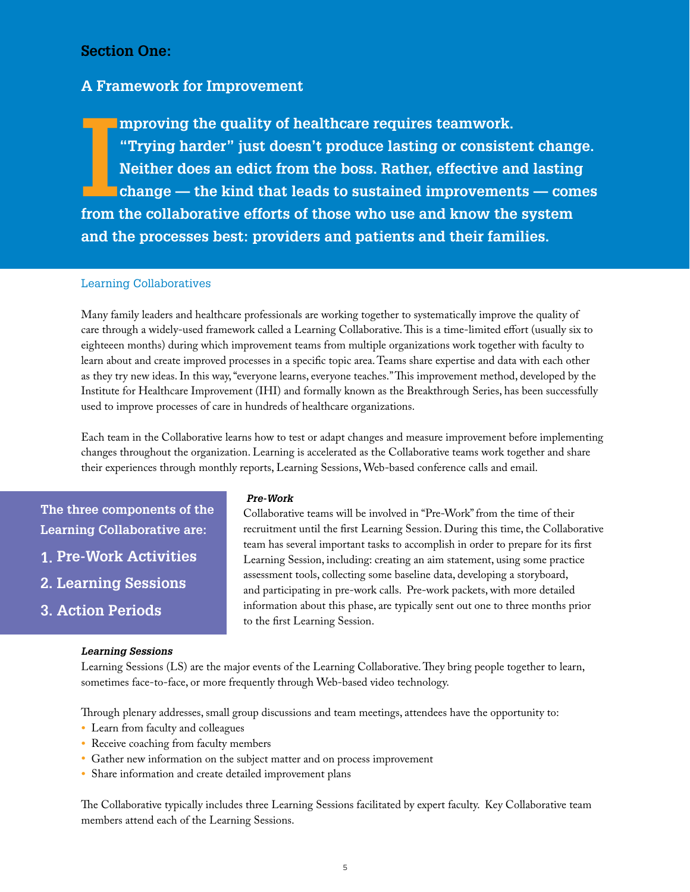# **Section One:**

# **A Framework for Improvement**

**I mproving the quality of healthcare requires teamwork. "Trying harder" just doesn't produce lasting or consistent change. Neither does an edict from the boss. Rather, effective and lasting change — the kind that leads to sustained improvements — comes from the collaborative efforts of those who use and know the system and the processes best: providers and patients and their families.** 

#### Learning Collaboratives

Many family leaders and healthcare professionals are working together to systematically improve the quality of care through a widely-used framework called a Learning Collaborative. This is a time-limited effort (usually six to eighteeen months) during which improvement teams from multiple organizations work together with faculty to learn about and create improved processes in a specific topic area. Teams share expertise and data with each other as they try new ideas. In this way, "everyone learns, everyone teaches." This improvement method, developed by the Institute for Healthcare Improvement (IHI) and formally known as the Breakthrough Series, has been successfully used to improve processes of care in hundreds of healthcare organizations.

Each team in the Collaborative learns how to test or adapt changes and measure improvement before implementing changes throughout the organization. Learning is accelerated as the Collaborative teams work together and share their experiences through monthly reports, Learning Sessions, Web-based conference calls and email.

**The three components of the Learning Collaborative are:** 

- **1. Pre-Work Activities**
- **2. Learning Sessions**
- **3. Action Periods**

#### *Learning Sessions*

#### *Pre-Work*

 Collaborative teams will be involved in "Pre-Work" from the time of their recruitment until the first Learning Session. During this time, the Collaborative team has several important tasks to accomplish in order to prepare for its first Learning Session, including: creating an aim statement, using some practice assessment tools, collecting some baseline data, developing a storyboard, and participating in pre-work calls. Pre-work packets, with more detailed information about this phase, are typically sent out one to three months prior to the first Learning Session.

Learning Sessions (LS) are the major events of the Learning Collaborative. They bring people together to learn, sometimes face-to-face, or more frequently through Web-based video technology.

Through plenary addresses, small group discussions and team meetings, attendees have the opportunity to:

- Learn from faculty and colleagues
- Receive coaching from faculty members
- Gather new information on the subject matter and on process improvement
- Share information and create detailed improvement plans

The Collaborative typically includes three Learning Sessions facilitated by expert faculty. Key Collaborative team members attend each of the Learning Sessions.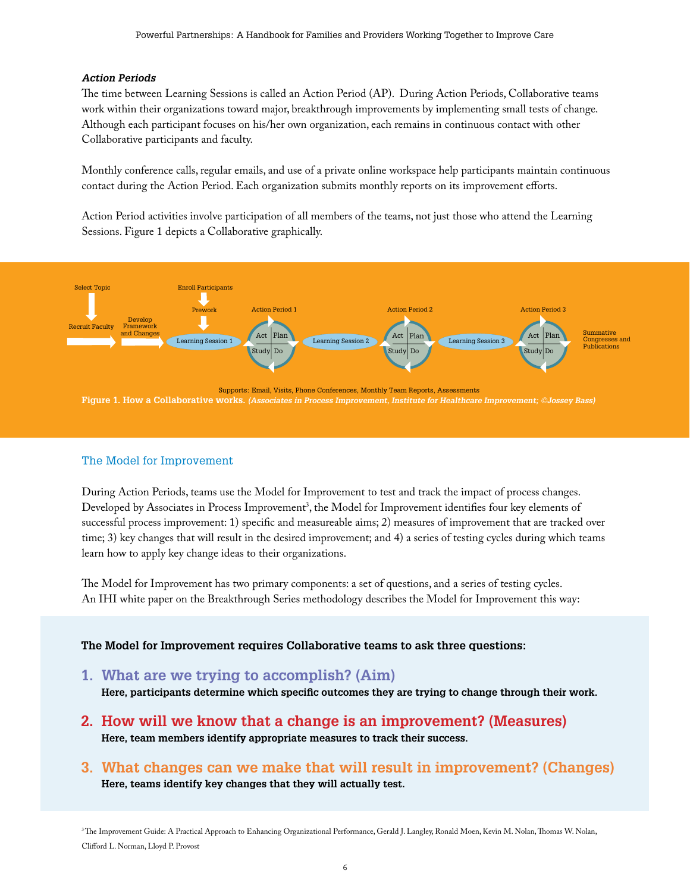#### *Action Periods*

The time between Learning Sessions is called an Action Period (AP). During Action Periods, Collaborative teams work within their organizations toward major, breakthrough improvements by implementing small tests of change. Although each participant focuses on his/her own organization, each remains in continuous contact with other Collaborative participants and faculty.

Monthly conference calls, regular emails, and use of a private online workspace help participants maintain continuous contact during the Action Period. Each organization submits monthly reports on its improvement efforts.

Action Period activities involve participation of all members of the teams, not just those who attend the Learning Sessions. Figure 1 depicts a Collaborative graphically.



#### The Model for Improvement

During Action Periods, teams use the Model for Improvement to test and track the impact of process changes. Developed by Associates in Process Improvement<sup>3</sup>, the Model for Improvement identifies four key elements of successful process improvement: 1) specific and measureable aims; 2) measures of improvement that are tracked over time; 3) key changes that will result in the desired improvement; and 4) a series of testing cycles during which teams learn how to apply key change ideas to their organizations.

The Model for Improvement has two primary components: a set of questions, and a series of testing cycles. An IHI white paper on the Breakthrough Series methodology describes the Model for Improvement this way:

**The Model for Improvement requires Collaborative teams to ask three questions:** 

**1. What are we trying to accomplish? (Aim)**

**Here, participants determine which specific outcomes they are trying to change through their work.** 

- **2. How will we know that a change is an improvement? (Measures) Here, team members identify appropriate measures to track their success.**
- **3. What changes can we make that will result in improvement? (Changes) Here, teams identify key changes that they will actually test.**

<sup>3</sup>The Improvement Guide: A Practical Approach to Enhancing Organizational Performance, Gerald J. Langley, Ronald Moen, Kevin M. Nolan, Thomas W. Nolan, Clifford L. Norman, Lloyd P. Provost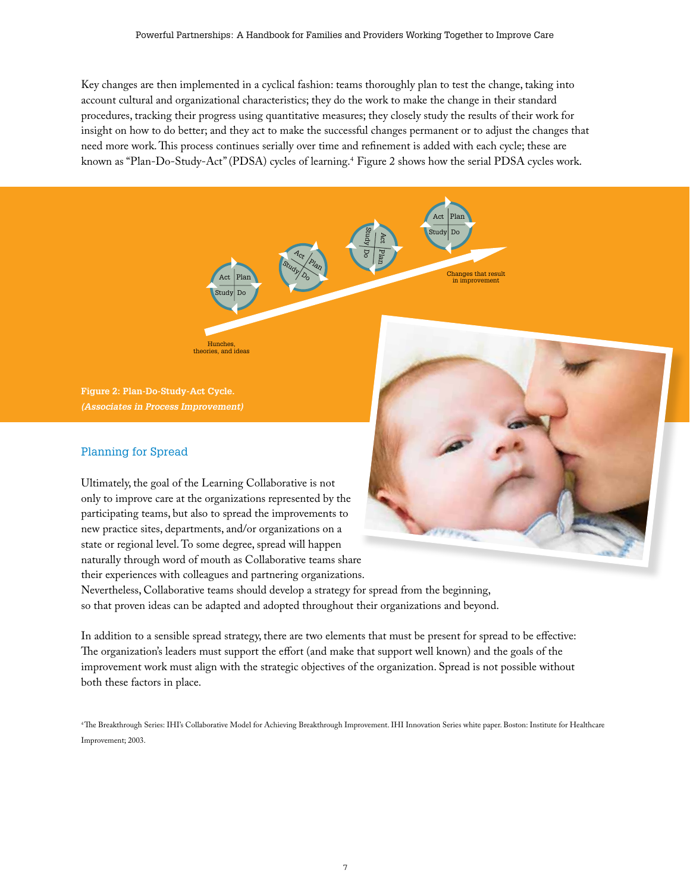Key changes are then implemented in a cyclical fashion: teams thoroughly plan to test the change, taking into account cultural and organizational characteristics; they do the work to make the change in their standard procedures, tracking their progress using quantitative measures; they closely study the results of their work for insight on how to do better; and they act to make the successful changes permanent or to adjust the changes that need more work. This process continues serially over time and refinement is added with each cycle; these are known as "Plan-Do-Study-Act" (PDSA) cycles of learning.<sup>4</sup> Figure 2 shows how the serial PDSA cycles work.



**Figure 2: Plan-Do-Study-Act Cycle.**  *(Associates in Process Improvement)*

# Planning for Spread

Ultimately, the goal of the Learning Collaborative is not only to improve care at the organizations represented by the participating teams, but also to spread the improvements to new practice sites, departments, and/or organizations on a state or regional level. To some degree, spread will happen naturally through word of mouth as Collaborative teams share their experiences with colleagues and partnering organizations.

Hunches, theories, and ideas



Nevertheless, Collaborative teams should develop a strategy for spread from the beginning, so that proven ideas can be adapted and adopted throughout their organizations and beyond.

In addition to a sensible spread strategy, there are two elements that must be present for spread to be effective: The organization's leaders must support the effort (and make that support well known) and the goals of the improvement work must align with the strategic objectives of the organization. Spread is not possible without both these factors in place.

4 The Breakthrough Series: IHI's Collaborative Model for Achieving Breakthrough Improvement. IHI Innovation Series white paper. Boston: Institute for Healthcare Improvement; 2003.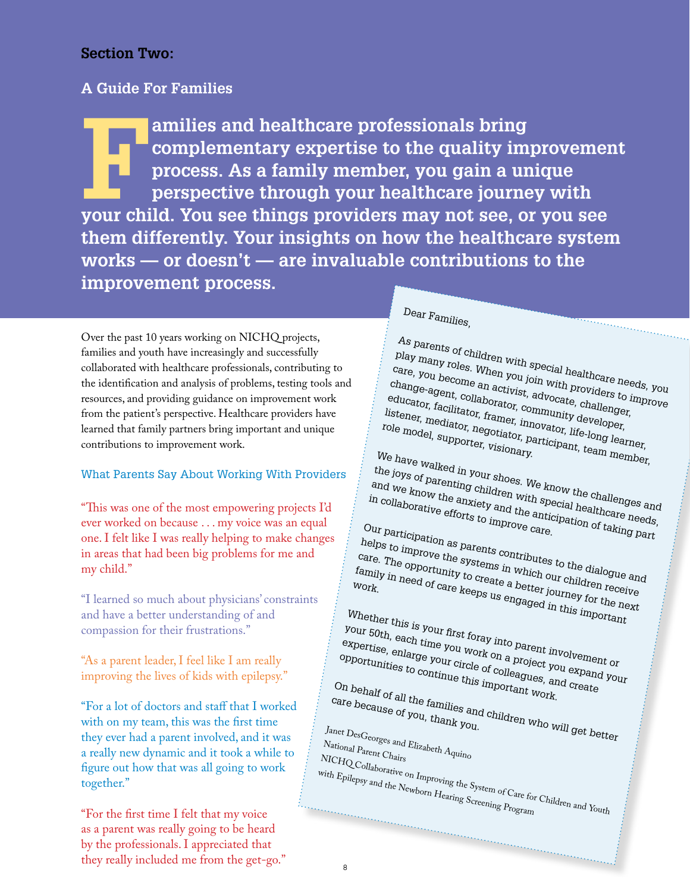# **Section Two:**

# **A Guide For Families**

**Families and healthcare professionals bring<br>
complementary expertise to the quality improcess. As a family member, you gain a un<br>
perspective through your healthcare journe<br>
vour child. You see things providers may not se complementary expertise to the quality improvement process. As a family member, you gain a unique perspective through your healthcare journey with your child. You see things providers may not see, or you see them differently. Your insights on how the healthcare system works — or doesn't — are invaluable contributions to the improvement process.**

Over the past 10 years working on NICHQ projects, families and youth have increasingly and successfully collaborated with healthcare professionals, contributing to the identification and analysis of problems, testing tools and resources, and providing guidance on improvement work from the patient's perspective. Healthcare providers have learned that family partners bring important and unique contributions to improvement work.

# What Parents Say About Working With Providers

"This was one of the most empowering projects I'd ever worked on because . . . my voice was an equal one. I felt like I was really helping to make changes in areas that had been big problems for me and my child."

"I learned so much about physicians' constraints and have a better understanding of and compassion for their frustrations."

"As a parent leader, I feel like I am really improving the lives of kids with epilepsy."

"For a lot of doctors and staff that I worked with on my team, this was the first time they ever had a parent involved, and it was a really new dynamic and it took a while to figure out how that was all going to work together."

"For the first time I felt that my voice as a parent was really going to be heard by the professionals. I appreciated that they really included me from the get-go."

# Dear Families,

As parents of children with special healthcare needs, you play many roles. When you join with providers to improve care, you become an activist, advocate, challenger,<br>educator, facilitator, framer, innovator, challenger,<br>listener, mediator, framer, innovator, life-long learn<br>role model, supportar, vicion, participant, team mem change-agent, collaborator, community developer, educator, facilitator, framer, innovator, life-long learner, listener, mediator, framer, innovator, developer,<br>
role model, supporter, visionary.<br>
We have woll, supporter, visionary.<br>
We have woll, We have walked in your shoes. We know the challenges and<br>and we know the anxiety and the special healthcare needs,<br>in collaborative efforts to improve anticipation of taking part the joys of parenting children with special healthcare needs, and we know the anxiety and the special healthcare and<br>in collaborative efforts to improve care.<br>In participation of taking part<br>our participation Our participation as parents contributes to the dialogue and helps to improve the systems in which our children receive care. The opportunity to create a better journey for the next  $\begin{array}{ll} \text{family in} & \text{empty to create a better} \text{ but } \text{display here} \\ \text{work} & \text{next} & \text{order } \text{degree} \text{ at } \text{other} \text{ in } \text{tree} \\ \text{work} & \text{select} & \text{degree} \text{ at } \text{degree} \text{ at } \text{other} \text{ in } \text{tree} \text{ in } \text{tree} \text{ at } \text{tree} \text{ in } \text{tree} \text{ in } \text{tree} \text{ in } \text{tree} \text{ in } \text{tree} \text{ in } \text{tree} \text{ in } \text{tree} \text{ in } \text{tree} \text{ in }$ work. Whether this is your first foray into parent involvement or your 50th, each time you work on a project you expand your expertise, enlarge your circle of colleagues, and create<br>opportunities to continue this important work.<br>On behalf of all the families and children who will get be<br>cause of you, then, and children who will get be opportunities to continue this important work. On behalf of all the families and children work.<br>Fare because of you, thank you.<br> $\frac{d}{dt}$  besoever who will get better care because of you, thank you. Janet DesGeorges and Elizabeth Aquino<br>National Parent Chairs<br>NICHO NICHQ Collaborative on Improving the System of Care for Children and Youth unnan manan manan manan

 $\mathcal{L}^{\text{max}}_{\text{max}}$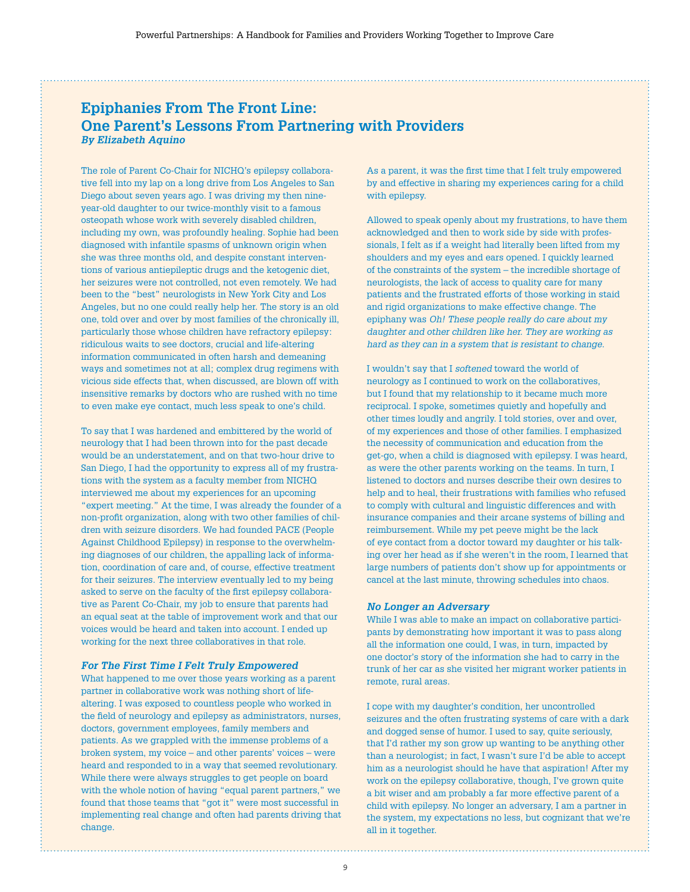# **Epiphanies From The Front Line: One Parent's Lessons From Partnering with Providers** *By Elizabeth Aquino*

The role of Parent Co-Chair for NICHQ's epilepsy collaborative fell into my lap on a long drive from Los Angeles to San Diego about seven years ago. I was driving my then nineyear-old daughter to our twice-monthly visit to a famous osteopath whose work with severely disabled children, including my own, was profoundly healing. Sophie had been diagnosed with infantile spasms of unknown origin when she was three months old, and despite constant interventions of various antiepileptic drugs and the ketogenic diet, her seizures were not controlled, not even remotely. We had been to the "best" neurologists in New York City and Los Angeles, but no one could really help her. The story is an old one, told over and over by most families of the chronically ill, particularly those whose children have refractory epilepsy: ridiculous waits to see doctors, crucial and life-altering information communicated in often harsh and demeaning ways and sometimes not at all; complex drug regimens with vicious side effects that, when discussed, are blown off with insensitive remarks by doctors who are rushed with no time to even make eye contact, much less speak to one's child.

To say that I was hardened and embittered by the world of neurology that I had been thrown into for the past decade would be an understatement, and on that two-hour drive to San Diego, I had the opportunity to express all of my frustrations with the system as a faculty member from NICHQ interviewed me about my experiences for an upcoming "expert meeting." At the time, I was already the founder of a non-profit organization, along with two other families of children with seizure disorders. We had founded PACE (People Against Childhood Epilepsy) in response to the overwhelming diagnoses of our children, the appalling lack of information, coordination of care and, of course, effective treatment for their seizures. The interview eventually led to my being asked to serve on the faculty of the first epilepsy collaborative as Parent Co-Chair, my job to ensure that parents had an equal seat at the table of improvement work and that our voices would be heard and taken into account. I ended up working for the next three collaboratives in that role.

#### *For The First Time I Felt Truly Empowered*

What happened to me over those years working as a parent partner in collaborative work was nothing short of lifealtering. I was exposed to countless people who worked in the field of neurology and epilepsy as administrators, nurses, doctors, government employees, family members and patients. As we grappled with the immense problems of a broken system, my voice – and other parents' voices – were heard and responded to in a way that seemed revolutionary. While there were always struggles to get people on board with the whole notion of having "equal parent partners," we found that those teams that "got it" were most successful in implementing real change and often had parents driving that change.

As a parent, it was the first time that I felt truly empowered by and effective in sharing my experiences caring for a child with epilepsy.

Allowed to speak openly about my frustrations, to have them acknowledged and then to work side by side with professionals, I felt as if a weight had literally been lifted from my shoulders and my eyes and ears opened. I quickly learned of the constraints of the system – the incredible shortage of neurologists, the lack of access to quality care for many patients and the frustrated efforts of those working in staid and rigid organizations to make effective change. The epiphany was *Oh! These people really do care about my daughter and other children like her. They are working as hard as they can in a system that is resistant to change.*

I wouldn't say that I *softened* toward the world of neurology as I continued to work on the collaboratives, but I found that my relationship to it became much more reciprocal. I spoke, sometimes quietly and hopefully and other times loudly and angrily. I told stories, over and over, of my experiences and those of other families. I emphasized the necessity of communication and education from the get-go, when a child is diagnosed with epilepsy. I was heard, as were the other parents working on the teams. In turn, I listened to doctors and nurses describe their own desires to help and to heal, their frustrations with families who refused to comply with cultural and linguistic differences and with insurance companies and their arcane systems of billing and reimbursement. While my pet peeve might be the lack of eye contact from a doctor toward my daughter or his talking over her head as if she weren't in the room, I learned that large numbers of patients don't show up for appointments or cancel at the last minute, throwing schedules into chaos.

#### *No Longer an Adversary*

While I was able to make an impact on collaborative participants by demonstrating how important it was to pass along all the information one could, I was, in turn, impacted by one doctor's story of the information she had to carry in the trunk of her car as she visited her migrant worker patients in remote, rural areas.

I cope with my daughter's condition, her uncontrolled seizures and the often frustrating systems of care with a dark and dogged sense of humor. I used to say, quite seriously, that I'd rather my son grow up wanting to be anything other than a neurologist; in fact, I wasn't sure I'd be able to accept him as a neurologist should he have that aspiration! After my work on the epilepsy collaborative, though, I've grown quite a bit wiser and am probably a far more effective parent of a child with epilepsy. No longer an adversary, I am a partner in the system, my expectations no less, but cognizant that we're all in it together.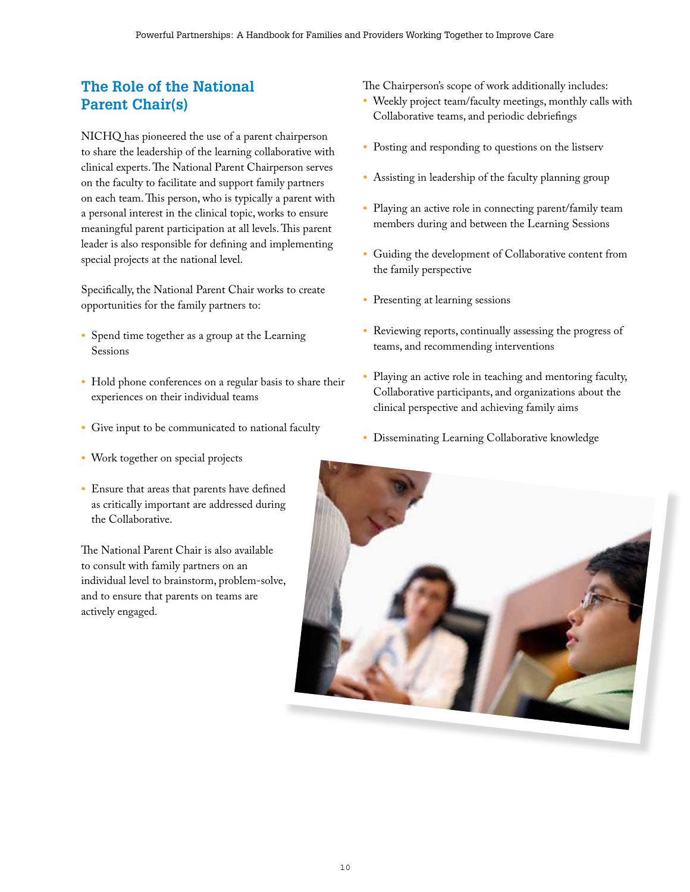# **The Role of the National Parent Chair(s)**

NICHQ has pioneered the use of a parent chairperson to share the leadership of the learning collaborative with clinical experts. The National Parent Chairperson serves on the faculty to facilitate and support family partners on each team. This person, who is typically a parent with a personal interest in the clinical topic, works to ensure meaningful parent participation at all levels. This parent leader is also responsible for defining and implementing special projects at the national level.

Specifically, the National Parent Chair works to create opportunities for the family partners to:

- Spend time together as a group at the Learning Sessions
- Hold phone conferences on a regular basis to share their experiences on their individual teams
- Give input to be communicated to national faculty
- Work together on special projects
- Ensure that areas that parents have defined as critically important are addressed during the Collaborative.

The National Parent Chair is also available to consult with family partners on an individual level to brainstorm, problem-solve, and to ensure that parents on teams are actively engaged.

The Chairperson's scope of work additionally includes:

- Weekly project team/faculty meetings, monthly calls with Collaborative teams, and periodic debriefings
- Posting and responding to questions on the listserv
- Assisting in leadership of the faculty planning group
- Playing an active role in connecting parent/family team members during and between the Learning Sessions
- Guiding the development of Collaborative content from the family perspective
- Presenting at learning sessions
- Reviewing reports, continually assessing the progress of teams, and recommending interventions
- Playing an active role in teaching and mentoring faculty, Collaborative participants, and organizations about the clinical perspective and achieving family aims
- Disseminating Learning Collaborative knowledge

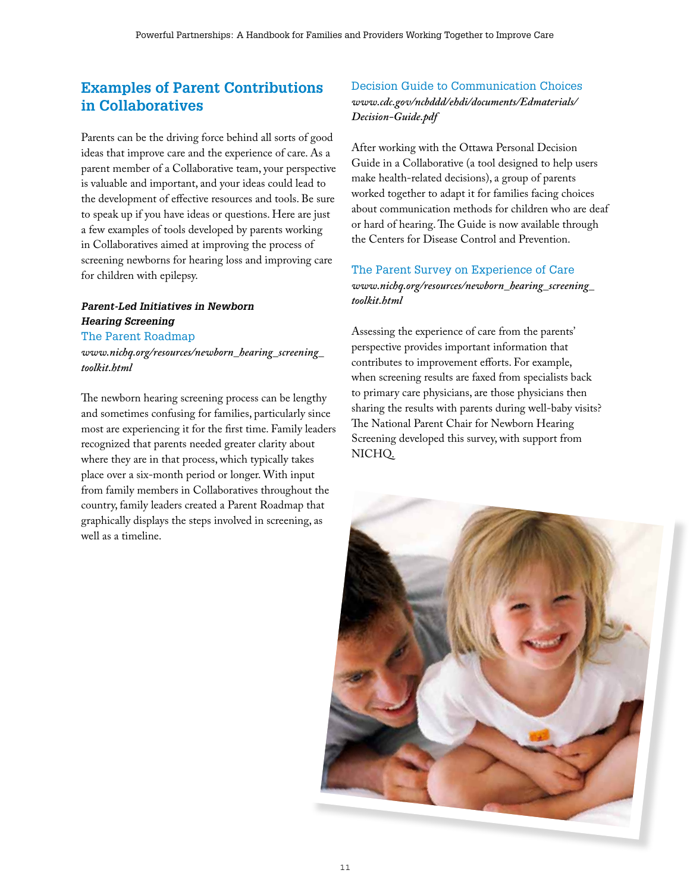# **Examples of Parent Contributions in Collaboratives**

Parents can be the driving force behind all sorts of good ideas that improve care and the experience of care. As a parent member of a Collaborative team, your perspective is valuable and important, and your ideas could lead to the development of effective resources and tools. Be sure to speak up if you have ideas or questions. Here are just a few examples of tools developed by parents working in Collaboratives aimed at improving the process of screening newborns for hearing loss and improving care for children with epilepsy.

# *Parent-Led Initiatives in Newborn Hearing Screening*

The Parent Roadmap

*www.nichq.org/resources/newborn\_hearing\_screening\_ toolkit.html*

The newborn hearing screening process can be lengthy and sometimes confusing for families, particularly since most are experiencing it for the first time. Family leaders recognized that parents needed greater clarity about where they are in that process, which typically takes place over a six-month period or longer. With input from family members in Collaboratives throughout the country, family leaders created a Parent Roadmap that graphically displays the steps involved in screening, as well as a timeline.

# Decision Guide to Communication Choices *www.cdc.gov/ncbddd/ehdi/documents/Edmaterials/ Decision-Guide.pdf*

After working with the Ottawa Personal Decision Guide in a Collaborative (a tool designed to help users make health-related decisions), a group of parents worked together to adapt it for families facing choices about communication methods for children who are deaf or hard of hearing. The Guide is now available through the Centers for Disease Control and Prevention.

# The Parent Survey on Experience of Care *www.nichq.org/resources/newborn\_hearing\_screening\_ toolkit.html*

Assessing the experience of care from the parents' perspective provides important information that contributes to improvement efforts. For example, when screening results are faxed from specialists back to primary care physicians, are those physicians then sharing the results with parents during well-baby visits? The National Parent Chair for Newborn Hearing Screening developed this survey, with support from NICHQ.

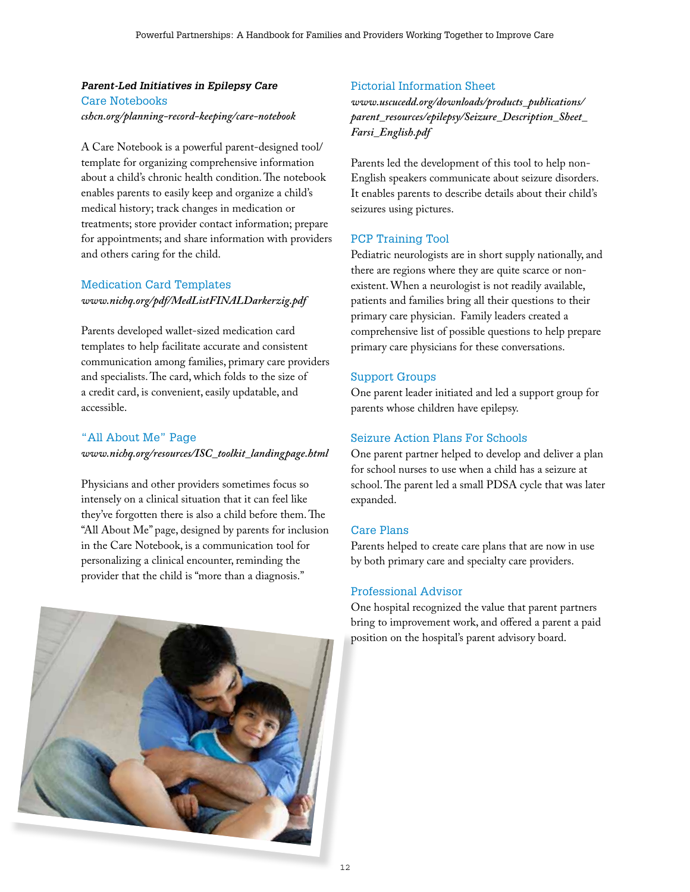# *Parent-Led Initiatives in Epilepsy Care* Care Notebooks *cshcn.org/planning-record-keeping/care-notebook*

A Care Notebook is a powerful parent-designed tool/ template for organizing comprehensive information about a child's chronic health condition. The notebook enables parents to easily keep and organize a child's medical history; track changes in medication or treatments; store provider contact information; prepare for appointments; and share information with providers and others caring for the child.

# Medication Card Templates *www.nichq.org/pdf/MedListFINALDarkerzig.pdf*

Parents developed wallet-sized medication card templates to help facilitate accurate and consistent communication among families, primary care providers and specialists. The card, which folds to the size of a credit card, is convenient, easily updatable, and accessible.

# "All About Me" Page *www.nichq.org/resources/ISC\_toolkit\_landingpage.html*

Physicians and other providers sometimes focus so intensely on a clinical situation that it can feel like they've forgotten there is also a child before them. The "All About Me" page, designed by parents for inclusion in the Care Notebook, is a communication tool for personalizing a clinical encounter, reminding the provider that the child is "more than a diagnosis."



# Pictorial Information Sheet

*www.uscucedd.org/downloads/products\_publications/ parent\_resources/epilepsy/Seizure\_Description\_Sheet\_ Farsi\_English.pdf* 

Parents led the development of this tool to help non-English speakers communicate about seizure disorders. It enables parents to describe details about their child's seizures using pictures.

# PCP Training Tool

Pediatric neurologists are in short supply nationally, and there are regions where they are quite scarce or nonexistent. When a neurologist is not readily available, patients and families bring all their questions to their primary care physician. Family leaders created a comprehensive list of possible questions to help prepare primary care physicians for these conversations.

# Support Groups

One parent leader initiated and led a support group for parents whose children have epilepsy.

# Seizure Action Plans For Schools

One parent partner helped to develop and deliver a plan for school nurses to use when a child has a seizure at school. The parent led a small PDSA cycle that was later expanded.

# Care Plans

Parents helped to create care plans that are now in use by both primary care and specialty care providers.

# Professional Advisor

One hospital recognized the value that parent partners bring to improvement work, and offered a parent a paid position on the hospital's parent advisory board.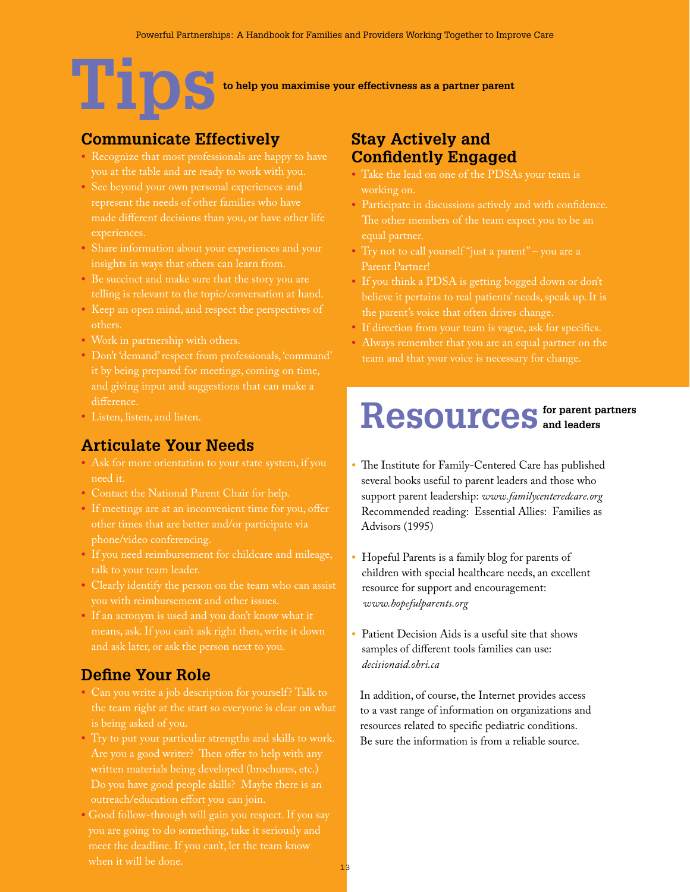# **Tipsto help you maximise your effectivness as a partner parent**

# **Communicate Effectively**

- Recognize that most professionals are happy to have you at the table and are ready to work with you.
- See beyond your own personal experiences and made different decisions than you, or have other life experiences.
- Share information about your experiences and your insights in ways that others can learn from.
- Be succinct and make sure that the story you are telling is relevant to the topic/conversation at hand.
- Keep an open mind, and respect the perspectives of others.
- Work in partnership with others.
- Don't 'demand' respect from professionals, 'command' it by being prepared for meetings, coming on time, and giving input and suggestions that can make a difference.
- Listen, listen, and listen.

# **Articulate Your Needs**

- Ask for more orientation to your state system, if you need it.
- Contact the National Parent Chair for help.
- If meetings are at an inconvenient time for you, offer phone/video conferencing.
- If you need reimbursement for childcare and mileage,
- Clearly identify the person on the team who can assist
- If an acronym is used and you don't know what it means, ask. If you can't ask right then, write it down

# **Define Your Role**

- Can you write a job description for yourself? Talk to the team right at the start so everyone is clear on what
- Try to put your particular strengths and skills to work. written materials being developed (brochures, etc.)
- Good follow-through will gain you respect. If you say when it will be done.

# **Stay Actively and Confidently Engaged**

- Take the lead on one of the PDSAs your team is working on.
- Participate in discussions actively and with confidence. The other members of the team expect you to be an
- Try not to call yourself "just a parent" you are a Parent Partner!
- If you think a PDSA is getting bogged down or don't the parent's voice that often drives change.
- If direction from your team is vague, ask for specifics.
- Always remember that you are an equal partner on the team and that your voice is necessary for change.

# ${\bf Resources}$  and leaders

- The Institute for Family-Centered Care has published several books useful to parent leaders and those who support parent leadership: *www.familycenteredcare.org* Recommended reading: Essential Allies: Families as Advisors (1995)
- Hopeful Parents is a family blog for parents of children with special healthcare needs, an excellent resource for support and encouragement: *www.hopefulparents.org*
- Patient Decision Aids is a useful site that shows samples of different tools families can use: *decisionaid.ohri.ca*

 In addition, of course, the Internet provides access to a vast range of information on organizations and resources related to specific pediatric conditions. Be sure the information is from a reliable source.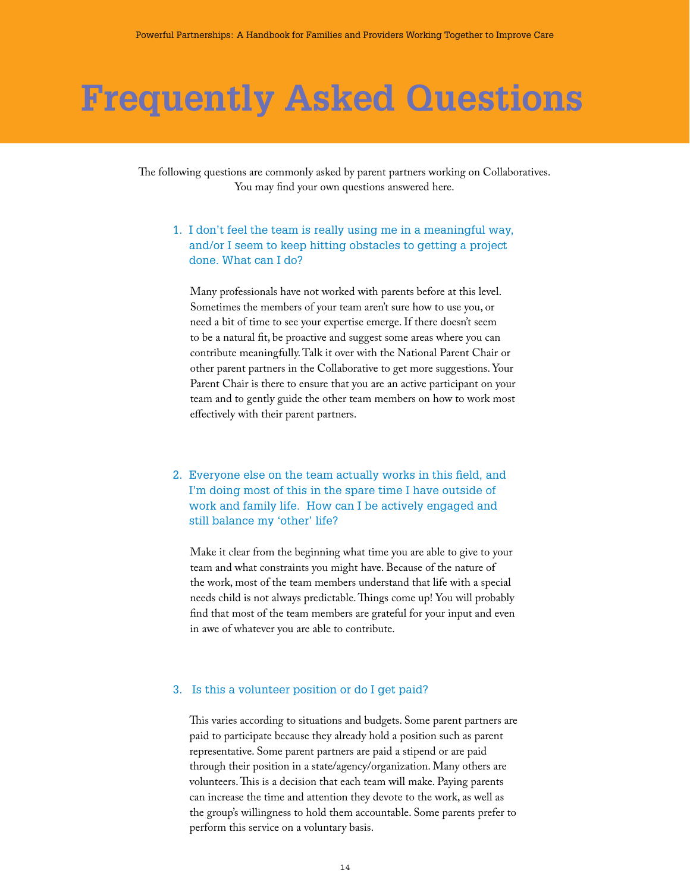# **Frequently Asked Questions**

The following questions are commonly asked by parent partners working on Collaboratives. You may find your own questions answered here.

# 1. I don't feel the team is really using me in a meaningful way, and/or I seem to keep hitting obstacles to getting a project done. What can I do?

 Many professionals have not worked with parents before at this level. Sometimes the members of your team aren't sure how to use you, or need a bit of time to see your expertise emerge. If there doesn't seem to be a natural fit, be proactive and suggest some areas where you can contribute meaningfully. Talk it over with the National Parent Chair or other parent partners in the Collaborative to get more suggestions. Your Parent Chair is there to ensure that you are an active participant on your team and to gently guide the other team members on how to work most effectively with their parent partners.

# 2. Everyone else on the team actually works in this field, and I'm doing most of this in the spare time I have outside of work and family life. How can I be actively engaged and still balance my 'other' life?

 Make it clear from the beginning what time you are able to give to your team and what constraints you might have. Because of the nature of the work, most of the team members understand that life with a special needs child is not always predictable. Things come up! You will probably find that most of the team members are grateful for your input and even in awe of whatever you are able to contribute.

#### 3. Is this a volunteer position or do I get paid?

 This varies according to situations and budgets. Some parent partners are paid to participate because they already hold a position such as parent representative. Some parent partners are paid a stipend or are paid through their position in a state/agency/organization. Many others are volunteers. This is a decision that each team will make. Paying parents can increase the time and attention they devote to the work, as well as the group's willingness to hold them accountable. Some parents prefer to perform this service on a voluntary basis.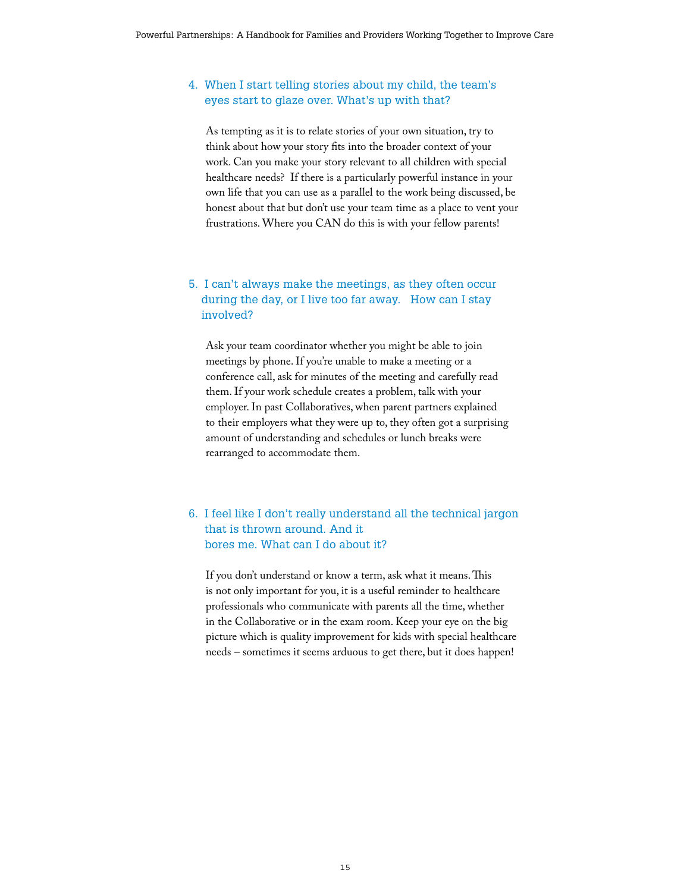# 4. When I start telling stories about my child, the team's eyes start to glaze over. What's up with that?

 As tempting as it is to relate stories of your own situation, try to think about how your story fits into the broader context of your work. Can you make your story relevant to all children with special healthcare needs? If there is a particularly powerful instance in your own life that you can use as a parallel to the work being discussed, be honest about that but don't use your team time as a place to vent your frustrations. Where you CAN do this is with your fellow parents!

# 5. I can't always make the meetings, as they often occur during the day, or I live too far away. How can I stay involved?

 Ask your team coordinator whether you might be able to join meetings by phone. If you're unable to make a meeting or a conference call, ask for minutes of the meeting and carefully read them. If your work schedule creates a problem, talk with your employer. In past Collaboratives, when parent partners explained to their employers what they were up to, they often got a surprising amount of understanding and schedules or lunch breaks were rearranged to accommodate them.

## 6. I feel like I don't really understand all the technical jargon that is thrown around. And it bores me. What can I do about it?

 If you don't understand or know a term, ask what it means. This is not only important for you, it is a useful reminder to healthcare professionals who communicate with parents all the time, whether in the Collaborative or in the exam room. Keep your eye on the big picture which is quality improvement for kids with special healthcare needs – sometimes it seems arduous to get there, but it does happen!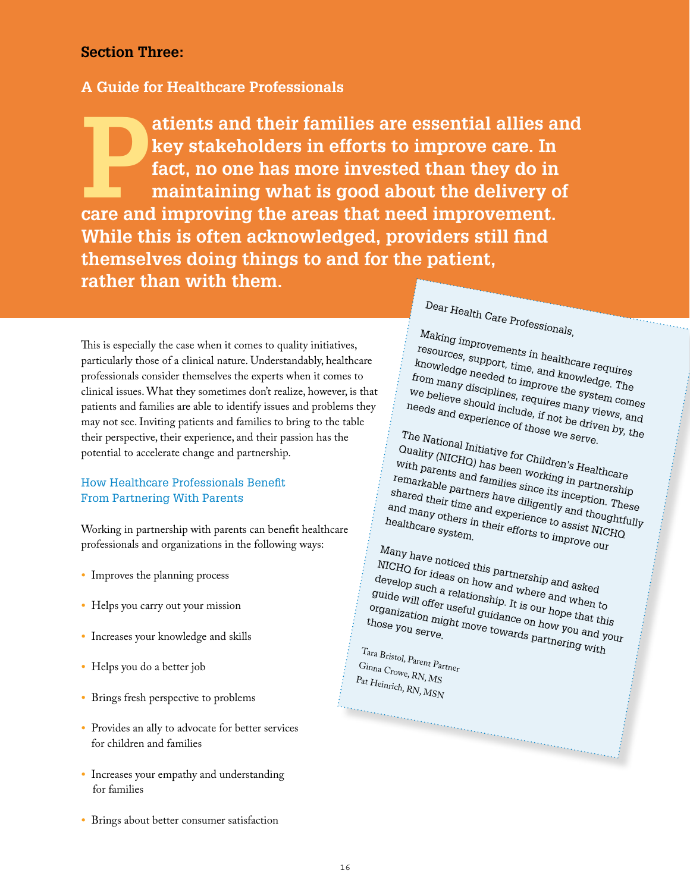# **Section Three:**

# **A Guide for Healthcare Professionals**

atients and their families are essential allies and<br>key stakeholders in efforts to improve care. In<br>fact, no one has more invested than they do in<br>maintaining what is good about the delivery of<br>care and improving the areas **key stakeholders in efforts to improve care. In fact, no one has more invested than they do in maintaining what is good about the delivery of care and improving the areas that need improvement. While this is often acknowledged, providers still find themselves doing things to and for the patient, rather than with them.** 

This is especially the case when it comes to quality initiatives, particularly those of a clinical nature. Understandably, healthcare professionals consider themselves the experts when it comes to clinical issues. What they sometimes don't realize, however, is that patients and families are able to identify issues and problems they may not see. Inviting patients and families to bring to the table their perspective, their experience, and their passion has the potential to accelerate change and partnership.

# How Healthcare Professionals Benefit From Partnering With Parents

Working in partnership with parents can benefit healthcare professionals and organizations in the following ways:

- Improves the planning process
- Helps you carry out your mission
- Increases your knowledge and skills
- Helps you do a better job
- Brings fresh perspective to problems
- Provides an ally to advocate for better services for children and families
- Increases your empathy and understanding for families
- Brings about better consumer satisfaction

Dear Health Care Professionals,

The County

Making improvements in healthcare requires resources, support, time, and knowledge. The knowledge needed to improve the system comes<br>from many disciplines, requires many views, and<br>needs and experience of those we serve. from many disciplines, requires many views, and We believe should include, if not be driven comes<br>needs and experience of those we serve.<br>The National Letter we serve.

The National Initiative for Children's Healthcare

Quality (NICHQ) has been working in partnership with parents and families since its inception. These<br>shared their time and experience to assist Mightfully<br>healthcare since in their efforts to improve MICHQ remarkable partners have diligently and thoughtfully shared their time and experience to assist NICHQ and many others in their efforts to improve our contract to the system. healthcare system.

Many have noticed this partnership and asked NICHQ for ideas on how and where and when to develop such a relationship. It is our hope that this<br>guide will offer useful guidance on how you and you<br>those you some that move towards now you and you guide will offer useful guidance on how you and your organization might move towards partnering with  $h$ <br>those you serve.<br>The pouserve towards partnering with those you serve.

a a concerta de la concerta de la concerta de la concerta de la concerta de la concerta de la concerta de la c

Tara Bristol, Parent Partner Ginna Crowe, RN, MS Pat Heinrich, RN, MSN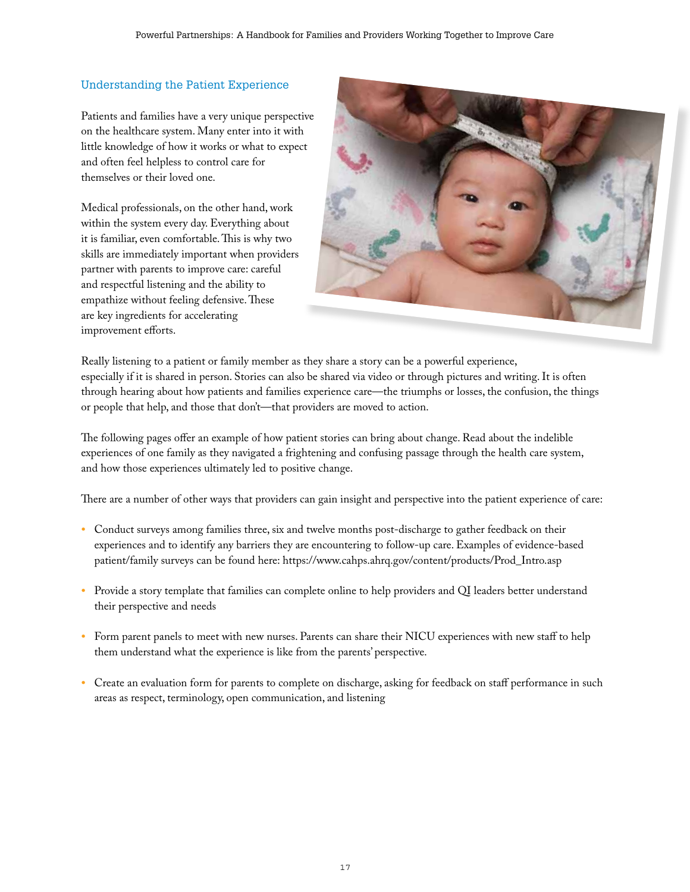# Understanding the Patient Experience

Patients and families have a very unique perspective on the healthcare system. Many enter into it with little knowledge of how it works or what to expect and often feel helpless to control care for themselves or their loved one.

Medical professionals, on the other hand, work within the system every day. Everything about it is familiar, even comfortable. This is why two skills are immediately important when providers partner with parents to improve care: careful and respectful listening and the ability to empathize without feeling defensive. These are key ingredients for accelerating improvement efforts.



Really listening to a patient or family member as they share a story can be a powerful experience, especially if it is shared in person. Stories can also be shared via video or through pictures and writing. It is often through hearing about how patients and families experience care—the triumphs or losses, the confusion, the things or people that help, and those that don't—that providers are moved to action.

The following pages offer an example of how patient stories can bring about change. Read about the indelible experiences of one family as they navigated a frightening and confusing passage through the health care system, and how those experiences ultimately led to positive change.

There are a number of other ways that providers can gain insight and perspective into the patient experience of care:

- Conduct surveys among families three, six and twelve months post-discharge to gather feedback on their experiences and to identify any barriers they are encountering to follow-up care. Examples of evidence-based patient/family surveys can be found here: https://www.cahps.ahrq.gov/content/products/Prod\_Intro.asp
- Provide a story template that families can complete online to help providers and QI leaders better understand their perspective and needs
- Form parent panels to meet with new nurses. Parents can share their NICU experiences with new staff to help them understand what the experience is like from the parents' perspective.
- Create an evaluation form for parents to complete on discharge, asking for feedback on staff performance in such areas as respect, terminology, open communication, and listening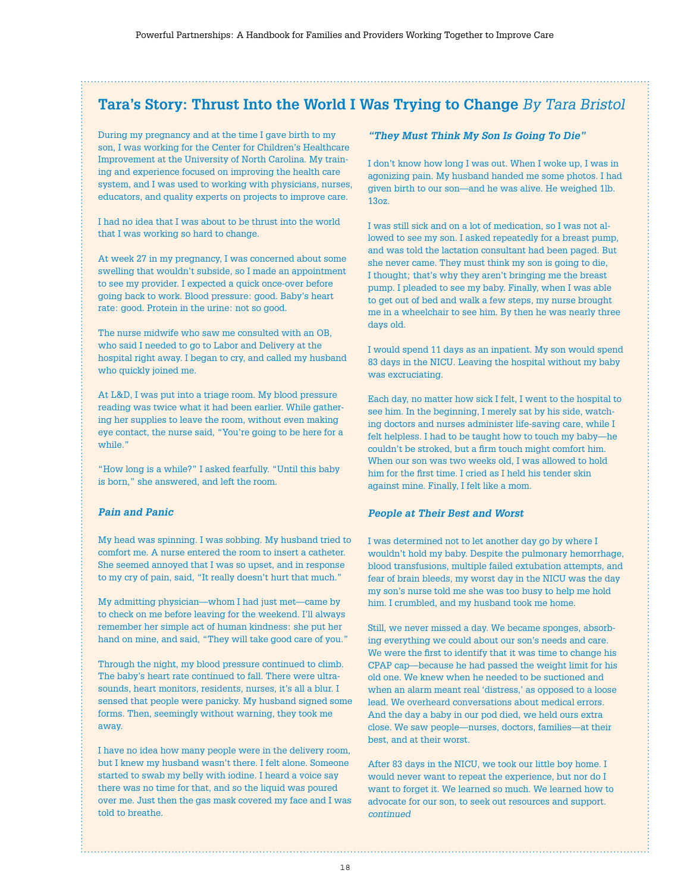# **Tara's Story: Thrust Into the World I Was Trying to Change** *By Tara Bristol*

During my pregnancy and at the time I gave birth to my son, I was working for the Center for Children's Healthcare Improvement at the University of North Carolina. My training and experience focused on improving the health care system, and I was used to working with physicians, nurses, educators, and quality experts on projects to improve care.

I had no idea that I was about to be thrust into the world that I was working so hard to change.

At week 27 in my pregnancy, I was concerned about some swelling that wouldn't subside, so I made an appointment to see my provider. I expected a quick once-over before going back to work. Blood pressure: good. Baby's heart rate: good. Protein in the urine: not so good.

The nurse midwife who saw me consulted with an OB, who said I needed to go to Labor and Delivery at the hospital right away. I began to cry, and called my husband who quickly joined me.

At L&D, I was put into a triage room. My blood pressure reading was twice what it had been earlier. While gathering her supplies to leave the room, without even making eye contact, the nurse said, "You're going to be here for a while."

"How long is a while?" I asked fearfully. "Until this baby is born," she answered, and left the room.

#### *Pain and Panic*

My head was spinning. I was sobbing. My husband tried to comfort me. A nurse entered the room to insert a catheter. She seemed annoyed that I was so upset, and in response to my cry of pain, said, "It really doesn't hurt that much."

My admitting physician—whom I had just met—came by to check on me before leaving for the weekend. I'll always remember her simple act of human kindness: she put her hand on mine, and said, "They will take good care of you."

Through the night, my blood pressure continued to climb. The baby's heart rate continued to fall. There were ultrasounds, heart monitors, residents, nurses, it's all a blur. I sensed that people were panicky. My husband signed some forms. Then, seemingly without warning, they took me away.

I have no idea how many people were in the delivery room, but I knew my husband wasn't there. I felt alone. Someone started to swab my belly with iodine. I heard a voice say there was no time for that, and so the liquid was poured over me. Just then the gas mask covered my face and I was told to breathe.

#### *"They Must Think My Son Is Going To Die"*

I don't know how long I was out. When I woke up, I was in agonizing pain. My husband handed me some photos. I had given birth to our son—and he was alive. He weighed 1lb. 13oz.

I was still sick and on a lot of medication, so I was not allowed to see my son. I asked repeatedly for a breast pump, and was told the lactation consultant had been paged. But she never came. They must think my son is going to die, I thought; that's why they aren't bringing me the breast pump. I pleaded to see my baby. Finally, when I was able to get out of bed and walk a few steps, my nurse brought me in a wheelchair to see him. By then he was nearly three days old.

I would spend 11 days as an inpatient. My son would spend 83 days in the NICU. Leaving the hospital without my baby was excruciating.

Each day, no matter how sick I felt, I went to the hospital to see him. In the beginning, I merely sat by his side, watching doctors and nurses administer life-saving care, while I felt helpless. I had to be taught how to touch my baby—he couldn't be stroked, but a firm touch might comfort him. When our son was two weeks old, I was allowed to hold him for the first time. I cried as I held his tender skin against mine. Finally, I felt like a mom.

#### *People at Their Best and Worst*

I was determined not to let another day go by where I wouldn't hold my baby. Despite the pulmonary hemorrhage, blood transfusions, multiple failed extubation attempts, and fear of brain bleeds, my worst day in the NICU was the day my son's nurse told me she was too busy to help me hold him. I crumbled, and my husband took me home.

Still, we never missed a day. We became sponges, absorbing everything we could about our son's needs and care. We were the first to identify that it was time to change his CPAP cap—because he had passed the weight limit for his old one. We knew when he needed to be suctioned and when an alarm meant real 'distress,' as opposed to a loose lead. We overheard conversations about medical errors. And the day a baby in our pod died, we held ours extra close. We saw people—nurses, doctors, families—at their best, and at their worst.

After 83 days in the NICU, we took our little boy home. I would never want to repeat the experience, but nor do I want to forget it. We learned so much. We learned how to advocate for our son, to seek out resources and support. *continued*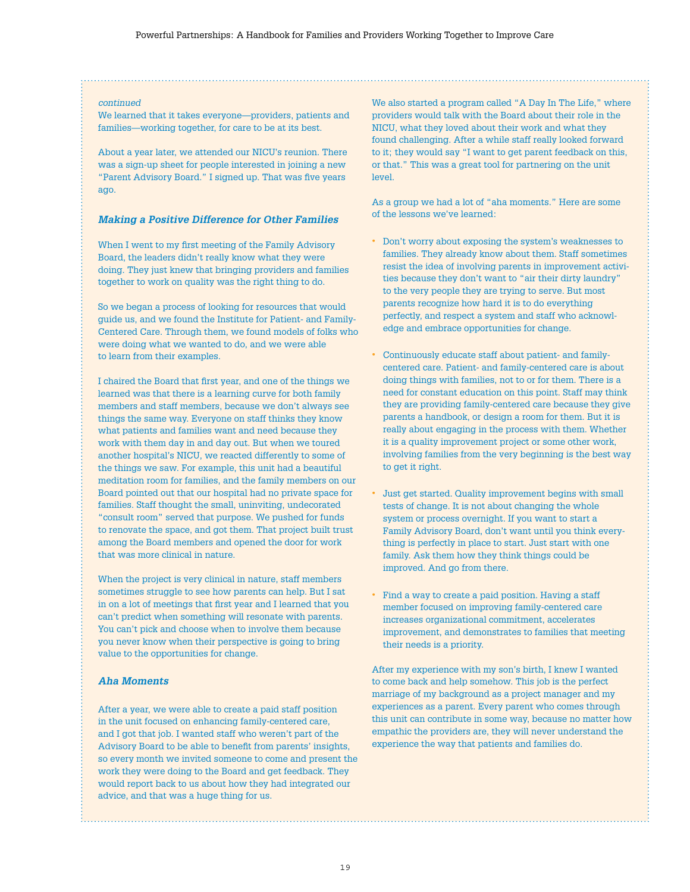#### *continued*

We learned that it takes everyone—providers, patients and families—working together, for care to be at its best.

About a year later, we attended our NICU's reunion. There was a sign-up sheet for people interested in joining a new "Parent Advisory Board." I signed up. That was five years ago.

#### *Making a Positive Difference for Other Families*

When I went to my first meeting of the Family Advisory Board, the leaders didn't really know what they were doing. They just knew that bringing providers and families together to work on quality was the right thing to do.

So we began a process of looking for resources that would guide us, and we found the Institute for Patient- and Family-Centered Care. Through them, we found models of folks who were doing what we wanted to do, and we were able to learn from their examples.

I chaired the Board that first year, and one of the things we learned was that there is a learning curve for both family members and staff members, because we don't always see things the same way. Everyone on staff thinks they know what patients and families want and need because they work with them day in and day out. But when we toured another hospital's NICU, we reacted differently to some of the things we saw. For example, this unit had a beautiful meditation room for families, and the family members on our Board pointed out that our hospital had no private space for families. Staff thought the small, uninviting, undecorated "consult room" served that purpose. We pushed for funds to renovate the space, and got them. That project built trust among the Board members and opened the door for work that was more clinical in nature.

When the project is very clinical in nature, staff members sometimes struggle to see how parents can help. But I sat in on a lot of meetings that first year and I learned that you can't predict when something will resonate with parents. You can't pick and choose when to involve them because you never know when their perspective is going to bring value to the opportunities for change.

#### *Aha Moments*

After a year, we were able to create a paid staff position in the unit focused on enhancing family-centered care, and I got that job. I wanted staff who weren't part of the Advisory Board to be able to benefit from parents' insights, so every month we invited someone to come and present the work they were doing to the Board and get feedback. They would report back to us about how they had integrated our advice, and that was a huge thing for us.

We also started a program called "A Day In The Life," where providers would talk with the Board about their role in the NICU, what they loved about their work and what they found challenging. After a while staff really looked forward to it; they would say "I want to get parent feedback on this, or that." This was a great tool for partnering on the unit level.

As a group we had a lot of "aha moments." Here are some of the lessons we've learned:

- Don't worry about exposing the system's weaknesses to families. They already know about them. Staff sometimes resist the idea of involving parents in improvement activities because they don't want to "air their dirty laundry" to the very people they are trying to serve. But most parents recognize how hard it is to do everything perfectly, and respect a system and staff who acknowledge and embrace opportunities for change.
- Continuously educate staff about patient- and familycentered care. Patient- and family-centered care is about doing things with families, not to or for them. There is a need for constant education on this point. Staff may think they are providing family-centered care because they give parents a handbook, or design a room for them. But it is really about engaging in the process with them. Whether it is a quality improvement project or some other work, involving families from the very beginning is the best way to get it right.
- Just get started. Quality improvement begins with small tests of change. It is not about changing the whole system or process overnight. If you want to start a Family Advisory Board, don't want until you think everything is perfectly in place to start. Just start with one family. Ask them how they think things could be improved. And go from there.
- Find a way to create a paid position. Having a staff member focused on improving family-centered care increases organizational commitment, accelerates improvement, and demonstrates to families that meeting their needs is a priority.

After my experience with my son's birth, I knew I wanted to come back and help somehow. This job is the perfect marriage of my background as a project manager and my experiences as a parent. Every parent who comes through this unit can contribute in some way, because no matter how empathic the providers are, they will never understand the experience the way that patients and families do.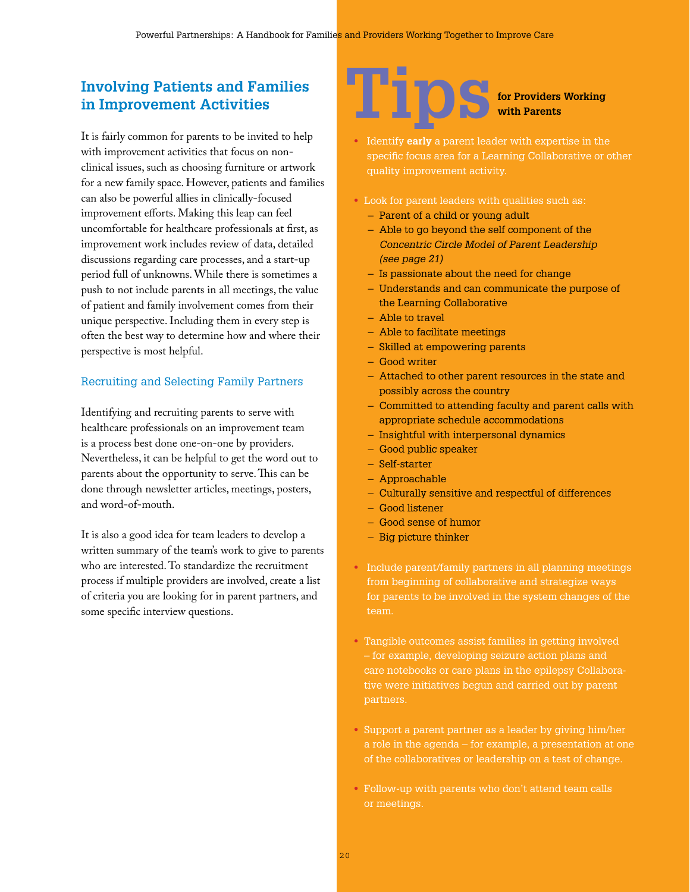# **Involving Patients and Families in Improvement Activities**

It is fairly common for parents to be invited to help with improvement activities that focus on nonclinical issues, such as choosing furniture or artwork for a new family space. However, patients and families can also be powerful allies in clinically-focused improvement efforts. Making this leap can feel uncomfortable for healthcare professionals at first, as improvement work includes review of data, detailed discussions regarding care processes, and a start-up period full of unknowns. While there is sometimes a push to not include parents in all meetings, the value of patient and family involvement comes from their unique perspective. Including them in every step is often the best way to determine how and where their perspective is most helpful.

# Recruiting and Selecting Family Partners

Identifying and recruiting parents to serve with healthcare professionals on an improvement team is a process best done one-on-one by providers. Nevertheless, it can be helpful to get the word out to parents about the opportunity to serve. This can be done through newsletter articles, meetings, posters, and word-of-mouth.

It is also a good idea for team leaders to develop a written summary of the team's work to give to parents who are interested. To standardize the recruitment process if multiple providers are involved, create a list of criteria you are looking for in parent partners, and some specific interview questions.



- Identify **early** a parent leader with expertise in the specific focus area for a Learning Collaborative or other quality improvement activity.
- Look for parent leaders with qualities such as:
	- Parent of a child or young adult
	- Able to go beyond the self component of the *Concentric Circle Model of Parent Leadership (see page 21)*
	- Is passionate about the need for change
	- Understands and can communicate the purpose of the Learning Collaborative
	- Able to travel
	- Able to facilitate meetings
	- Skilled at empowering parents
	- Good writer
	- Attached to other parent resources in the state and possibly across the country
	- Committed to attending faculty and parent calls with appropriate schedule accommodations
	- Insightful with interpersonal dynamics
	- Good public speaker
	- Self-starter
	- Approachable
	- Culturally sensitive and respectful of differences
	- Good listener
	- Good sense of humor
	- Big picture thinker
- Include parent/family partners in all planning meetings from beginning of collaborative and strategize ways for parents to be involved in the system changes of the team.
- Tangible outcomes assist families in getting involved – for example, developing seizure action plans and care notebooks or care plans in the epilepsy Collaborative were initiatives begun and carried out by parent partners.
- Support a parent partner as a leader by giving him/her a role in the agenda – for example, a presentation at one of the collaboratives or leadership on a test of change.
- Follow-up with parents who don't attend team calls or meetings.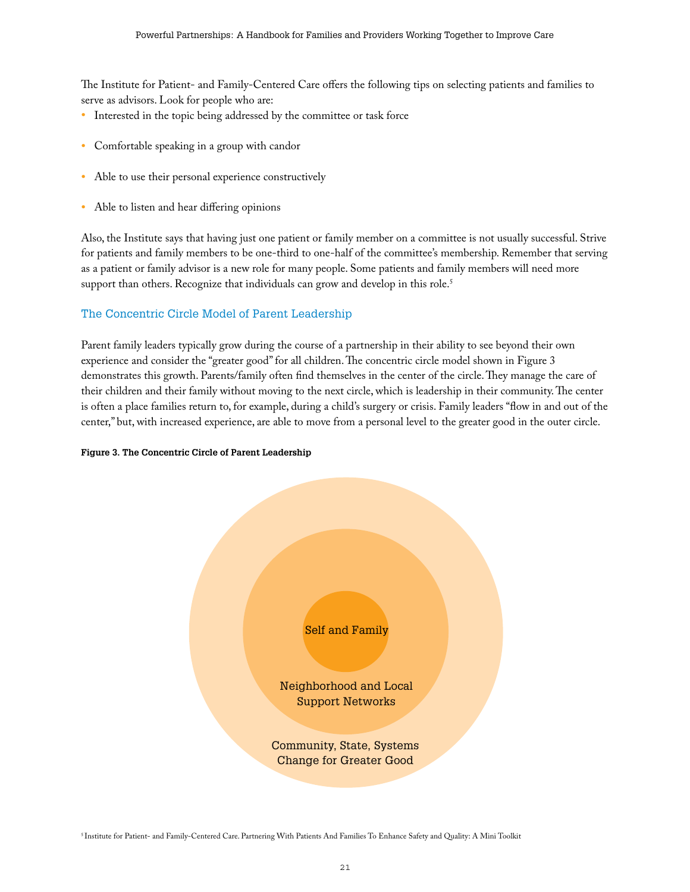The Institute for Patient- and Family-Centered Care offers the following tips on selecting patients and families to serve as advisors. Look for people who are:

- Interested in the topic being addressed by the committee or task force
- Comfortable speaking in a group with candor
- Able to use their personal experience constructively
- Able to listen and hear differing opinions

Also, the Institute says that having just one patient or family member on a committee is not usually successful. Strive for patients and family members to be one-third to one-half of the committee's membership. Remember that serving as a patient or family advisor is a new role for many people. Some patients and family members will need more support than others. Recognize that individuals can grow and develop in this role. $^5$ 

### The Concentric Circle Model of Parent Leadership

Parent family leaders typically grow during the course of a partnership in their ability to see beyond their own experience and consider the "greater good" for all children. The concentric circle model shown in Figure 3 demonstrates this growth. Parents/family often find themselves in the center of the circle. They manage the care of their children and their family without moving to the next circle, which is leadership in their community. The center is often a place families return to, for example, during a child's surgery or crisis. Family leaders "flow in and out of the center," but, with increased experience, are able to move from a personal level to the greater good in the outer circle.

#### **Figure 3. The Concentric Circle of Parent Leadership**



5 Institute for Patient- and Family-Centered Care. Partnering With Patients And Families To Enhance Safety and Quality: A Mini Toolkit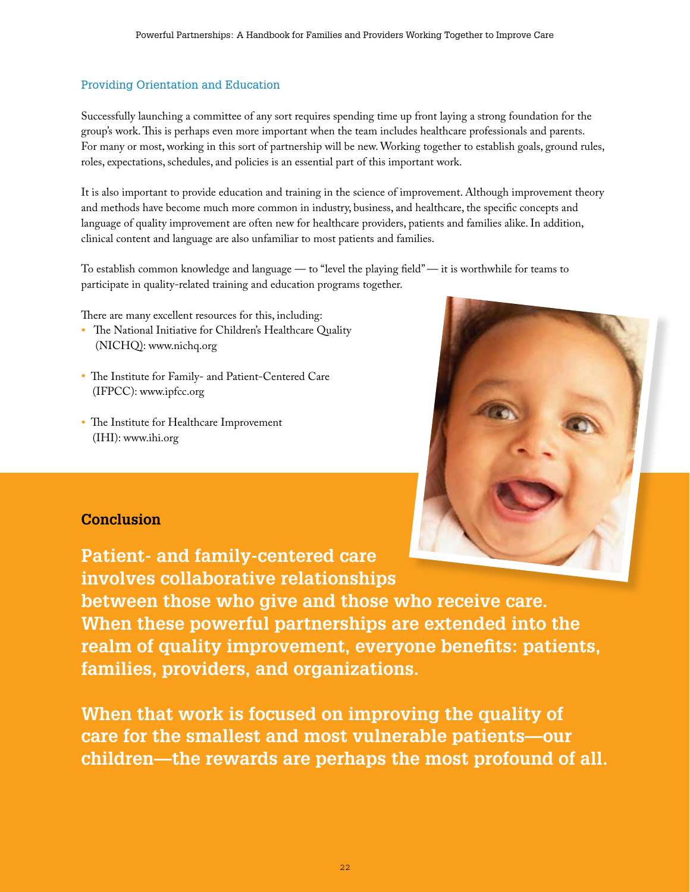# Providing Orientation and Education

Successfully launching a committee of any sort requires spending time up front laying a strong foundation for the group's work. This is perhaps even more important when the team includes healthcare professionals and parents. For many or most, working in this sort of partnership will be new. Working together to establish goals, ground rules, roles, expectations, schedules, and policies is an essential part of this important work.

It is also important to provide education and training in the science of improvement. Although improvement theory and methods have become much more common in industry, business, and healthcare, the specific concepts and language of quality improvement are often new for healthcare providers, patients and families alike. In addition, clinical content and language are also unfamiliar to most patients and families.

To establish common knowledge and language — to "level the playing field" — it is worthwhile for teams to participate in quality-related training and education programs together.

There are many excellent resources for this, including:

- The National Initiative for Children's Healthcare Quality (NICHQ): www.nichq.org
- The Institute for Family- and Patient-Centered Care (IFPCC): www.ipfcc.org
- The Institute for Healthcare Improvement (IHI): www.ihi.org



# **Conclusion**

**Patient- and family-centered care involves collaborative relationships between those who give and those who receive care. When these powerful partnerships are extended into the realm of quality improvement, everyone benefits: patients, families, providers, and organizations.** 

**When that work is focused on improving the quality of care for the smallest and most vulnerable patients—our children—the rewards are perhaps the most profound of all.**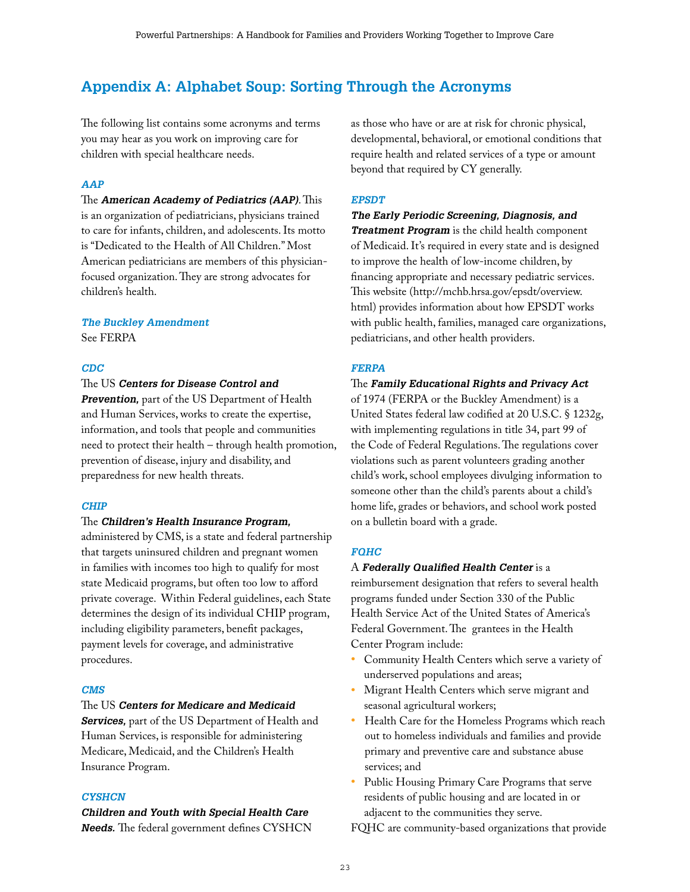# **Appendix A: Alphabet Soup: Sorting Through the Acronyms**

The following list contains some acronyms and terms you may hear as you work on improving care for children with special healthcare needs.

#### *AAP*

The *American Academy of Pediatrics (AAP)*. This is an organization of pediatricians, physicians trained to care for infants, children, and adolescents. Its motto is "Dedicated to the Health of All Children." Most American pediatricians are members of this physicianfocused organization. They are strong advocates for children's health.

### *The Buckley Amendment*

See FERPA

#### *CDC*

#### The US *Centers for Disease Control and*

*Prevention,* part of the US Department of Health and Human Services, works to create the expertise, information, and tools that people and communities need to protect their health – through health promotion, prevention of disease, injury and disability, and preparedness for new health threats.

#### *CHIP*

#### The *Children's Health Insurance Program,*

administered by CMS, is a state and federal partnership that targets uninsured children and pregnant women in families with incomes too high to qualify for most state Medicaid programs, but often too low to afford private coverage. Within Federal guidelines, each State determines the design of its individual CHIP program, including eligibility parameters, benefit packages, payment levels for coverage, and administrative procedures.

#### *CMS*

#### The US *Centers for Medicare and Medicaid*

*Services,* part of the US Department of Health and Human Services, is responsible for administering Medicare, Medicaid, and the Children's Health Insurance Program.

#### *CYSHCN*

## *Children and Youth with Special Health Care Needs.* The federal government defines CYSHCN

as those who have or are at risk for chronic physical, developmental, behavioral, or emotional conditions that require health and related services of a type or amount beyond that required by CY generally.

#### *EPSDT*

*The Early Periodic Screening, Diagnosis, and Treatment Program* is the child health component of Medicaid. It's required in every state and is designed to improve the health of low-income children, by financing appropriate and necessary pediatric services. This website (http://mchb.hrsa.gov/epsdt/overview. html) provides information about how EPSDT works with public health, families, managed care organizations, pediatricians, and other health providers.

#### *FERPA*

### The *Family Educational Rights and Privacy Act*

of 1974 (FERPA or the Buckley Amendment) is a United States federal law codified at 20 U.S.C. § 1232g, with implementing regulations in title 34, part 99 of the Code of Federal Regulations. The regulations cover violations such as parent volunteers grading another child's work, school employees divulging information to someone other than the child's parents about a child's home life, grades or behaviors, and school work posted on a bulletin board with a grade.

#### *FQHC*

#### A *Federally Qualified Health Center* is a

reimbursement designation that refers to several health programs funded under Section 330 of the Public Health Service Act of the United States of America's Federal Government. The grantees in the Health Center Program include:

- Community Health Centers which serve a variety of underserved populations and areas;
- Migrant Health Centers which serve migrant and seasonal agricultural workers;
- Health Care for the Homeless Programs which reach out to homeless individuals and families and provide primary and preventive care and substance abuse services; and
- Public Housing Primary Care Programs that serve residents of public housing and are located in or adjacent to the communities they serve.

FQHC are community-based organizations that provide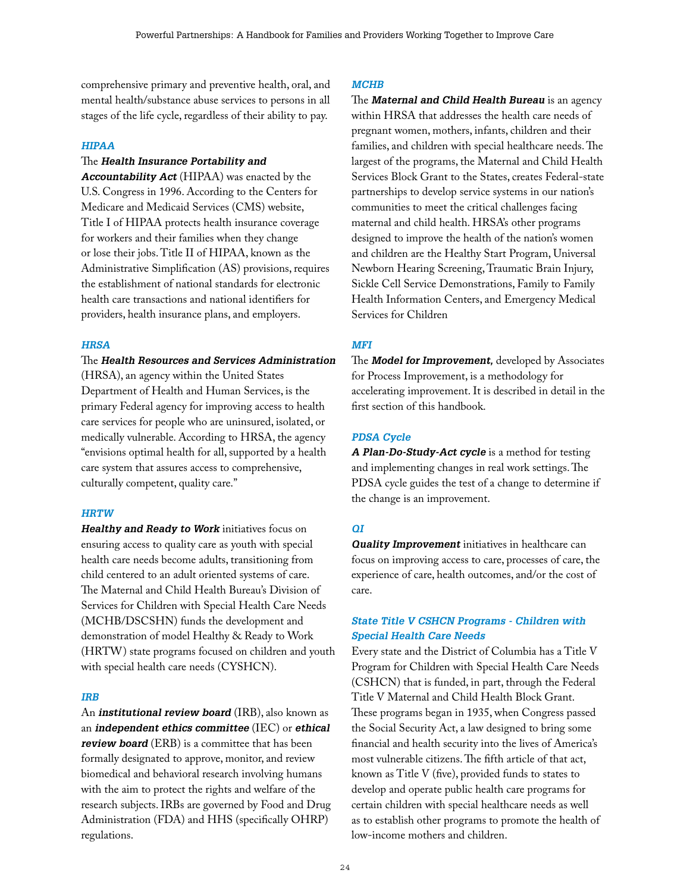comprehensive primary and preventive health, oral, and mental health/substance abuse services to persons in all stages of the life cycle, regardless of their ability to pay.

#### *HIPAA*

# The *Health Insurance Portability and*

*Accountability Act* (HIPAA) was enacted by the U.S. Congress in 1996. According to the Centers for Medicare and Medicaid Services (CMS) website, Title I of HIPAA protects health insurance coverage for workers and their families when they change or lose their jobs. Title II of HIPAA, known as the Administrative Simplification (AS) provisions, requires the establishment of national standards for electronic health care transactions and national identifiers for providers, health insurance plans, and employers.

#### *HRSA*

#### The *Health Resources and Services Administration*

(HRSA), an agency within the United States Department of Health and Human Services, is the primary Federal agency for improving access to health care services for people who are uninsured, isolated, or medically vulnerable. According to HRSA, the agency "envisions optimal health for all, supported by a health care system that assures access to comprehensive, culturally competent, quality care."

#### *HRTW*

*Healthy and Ready to Work* initiatives focus on ensuring access to quality care as youth with special health care needs become adults, transitioning from child centered to an adult oriented systems of care. The Maternal and Child Health Bureau's Division of Services for Children with Special Health Care Needs (MCHB/DSCSHN) funds the development and demonstration of model Healthy & Ready to Work (HRTW) state programs focused on children and youth with special health care needs (CYSHCN).

#### *IRB*

An *institutional review board* (IRB), also known as an *independent ethics committee* (IEC) or *ethical review board* (ERB) is a committee that has been formally designated to approve, monitor, and review biomedical and behavioral research involving humans with the aim to protect the rights and welfare of the research subjects. IRBs are governed by Food and Drug Administration (FDA) and HHS (specifically OHRP) regulations.

#### *MCHB*

The *Maternal and Child Health Bureau* is an agency within HRSA that addresses the health care needs of pregnant women, mothers, infants, children and their families, and children with special healthcare needs. The largest of the programs, the Maternal and Child Health Services Block Grant to the States, creates Federal-state partnerships to develop service systems in our nation's communities to meet the critical challenges facing maternal and child health. HRSA's other programs designed to improve the health of the nation's women and children are the Healthy Start Program, Universal Newborn Hearing Screening, Traumatic Brain Injury, Sickle Cell Service Demonstrations, Family to Family Health Information Centers, and Emergency Medical Services for Children

#### *MFI*

The *Model for Improvement,* developed by Associates for Process Improvement, is a methodology for accelerating improvement. It is described in detail in the first section of this handbook.

#### *PDSA Cycle*

*A Plan-Do-Study-Act cycle* is a method for testing and implementing changes in real work settings. The PDSA cycle guides the test of a change to determine if the change is an improvement.

#### *QI*

*Quality Improvement* initiatives in healthcare can focus on improving access to care, processes of care, the experience of care, health outcomes, and/or the cost of care.

#### *State Title V CSHCN Programs - Children with Special Health Care Needs*

Every state and the District of Columbia has a Title V Program for Children with Special Health Care Needs (CSHCN) that is funded, in part, through the Federal Title V Maternal and Child Health Block Grant. These programs began in 1935, when Congress passed the Social Security Act, a law designed to bring some financial and health security into the lives of America's most vulnerable citizens. The fifth article of that act, known as Title V (five), provided funds to states to develop and operate public health care programs for certain children with special healthcare needs as well as to establish other programs to promote the health of low-income mothers and children.